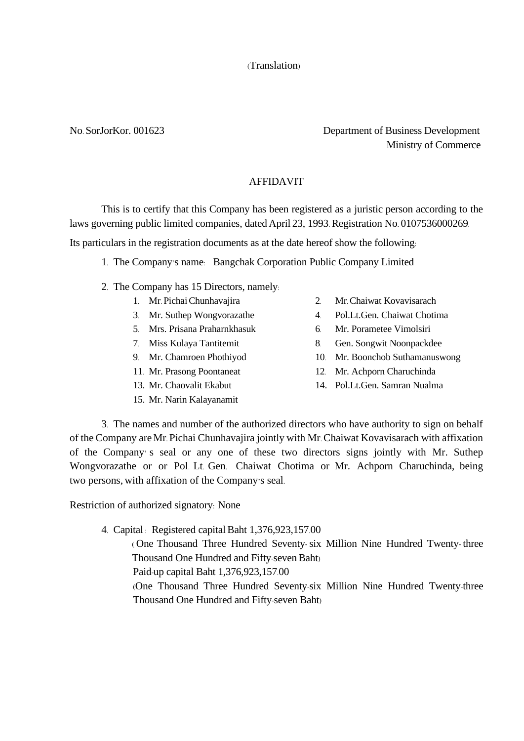# (Translation)

# No. SorJorKor. 001623 Department of Business Development Ministry of Commerce

## AFFIDAVIT

This is to certify that this Company has been registered as a juristic person according to the laws governing public limited companies, dated April 23, 1993. Registration No. 0107536000269.

Its particulars in the registration documents as at the date hereof show the following:

- 1. The Company's name: Bangchak Corporation Public Company Limited
- 2. The Company has 15 Directors, namely:
	-
	-
	- 5. Mrs. Prisana Praharnkhasuk 6. Mr. Porametee Vimolsiri
	-
	-
	-
	-
	- 15. Mr. Narin Kalayanamit
- 1. Mr. PichaiChunhavajira 2. Mr. [Chaiwat Kovavisarach](file://///enconas02/OSB-Data/BOARD/แฟ้มข้อมูลบริษัท/updated%202013/แนบกรรมการ%20-%20update%202556/12%20คุณชัยวัฒน์.doc)
- 3. Mr. Suthep Wongvorazathe 4. Pol.Lt.Gen. Chaiwat Chotima
	-
- 7. Miss Kulaya Tantitemit 8. Gen. Songwit Noonpackdee
- 9. Mr. Chamroen Phothiyod 10. Mr. Boonchob Suthamanuswong
- 11. Mr. Prasong Poontaneat 12. Mr. Achporn Charuchinda
- 13. Mr. Chaovalit Ekabut 14. Pol.Lt.Gen. Samran Nualma

3. The names and number of the authorized directors who have authority to sign on behalf of the Company areMr. Pichai Chunhavajira jointly with Mr. Chaiwat Kovavisarach with affixation of the Company' s seal or any one of these two directors signs jointly with Mr. Suthep Wongvorazathe or or Pol. Lt. Gen. Chaiwat Chotima or Mr. Achporn Charuchinda, being two persons, with affixation of the Company's seal.

Restriction of authorized signatory: None

4. Capital : Registered capital Baht 1,376,923,157.00

( One Thousand Three Hundred Seventy-six Million Nine Hundred Twenty- three Thousand One Hundred and Fifty-seven Baht)

Paid-up capital Baht 1,376,923,157.00

(One Thousand Three Hundred Seventy-six Million Nine Hundred Twenty-three Thousand One Hundred and Fifty-seven Baht)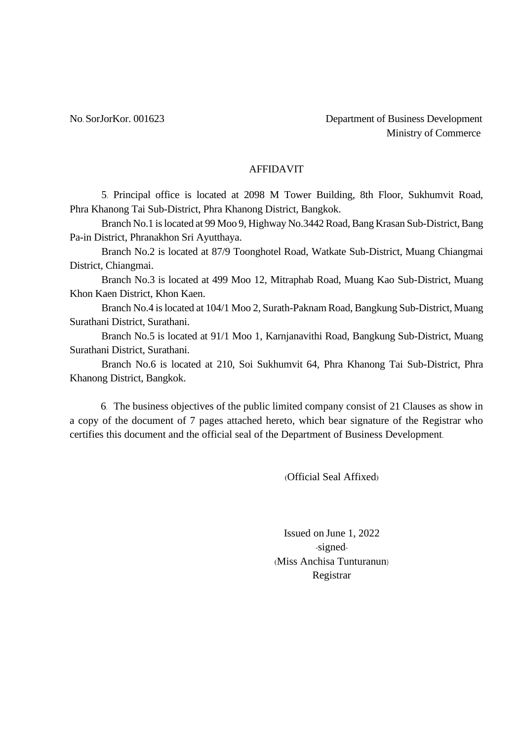#### AFFIDAVIT

5. Principal office is located at 2098 M Tower Building, 8th Floor, Sukhumvit Road, Phra Khanong Tai Sub-District, Phra Khanong District, Bangkok.

Branch No.1 is located at 99 Moo 9, Highway No.3442 Road, Bang Krasan Sub-District, Bang Pa-in District, Phranakhon Sri Ayutthaya.

Branch No.2 is located at 87/9 Toonghotel Road, Watkate Sub-District, Muang Chiangmai District, Chiangmai.

Branch No.3 is located at 499 Moo 12, Mitraphab Road, Muang Kao Sub-District, Muang Khon Kaen District, Khon Kaen.

Branch No.4 is located at 104/1 Moo 2, Surath-Paknam Road, Bangkung Sub-District, Muang Surathani District, Surathani.

Branch No.5 is located at 91/1 Moo 1, Karnjanavithi Road, Bangkung Sub-District, Muang Surathani District, Surathani.

Branch No.6 is located at 210, Soi Sukhumvit 64, Phra Khanong Tai Sub-District, Phra Khanong District, Bangkok.

6. The business objectives of the public limited company consist of 21 Clauses as show in a copy of the document of 7 pages attached hereto, which bear signature of the Registrar who certifies this document and the official seal of the Department of Business Development.

(Official Seal Affixed)

Issued on June 1, 2022 -signed- (Miss Anchisa Tunturanun) Registrar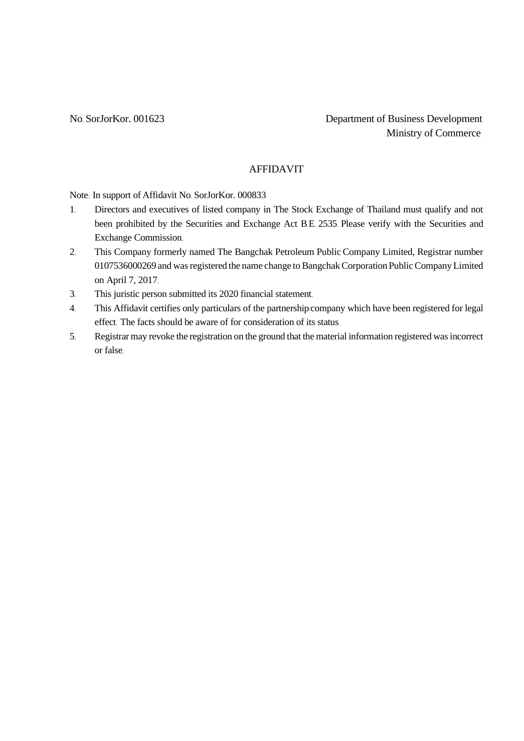# AFFIDAVIT

Note: In support of Affidavit No. SorJorKor. 000833

- 1. Directors and executives of listed company in The Stock Exchange of Thailand must qualify and not been prohibited by the Securities and Exchange Act B.E. 2535. Please verify with the Securities and Exchange Commission.
- 2. This Company formerly named The Bangchak Petroleum Public Company Limited, Registrar number 0107536000269 and was registered the name change to Bangchak Corporation Public Company Limited on April 7, 2017.
- 3. This juristic person submitted its 2020 financial statement.
- 4. This Affidavit certifies only particulars of the partnership/company which have been registered for legal effect. The facts should be aware of for consideration of its status.
- 5. Registrar may revoke the registration on the ground that the material information registered was incorrect or false.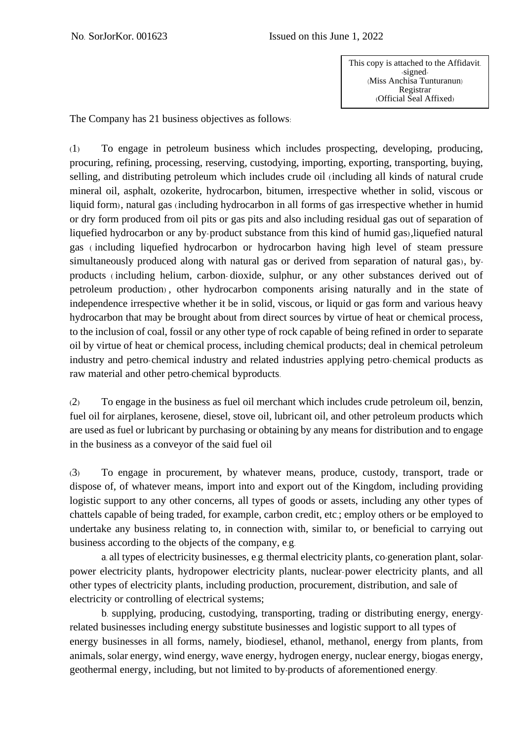The Company has 21 business objectives as follows:

(1) To engage in petroleum business which includes prospecting, developing, producing, procuring, refining, processing, reserving, custodying, importing, exporting, transporting, buying, selling, and distributing petroleum which includes crude oil (including all kinds of natural crude mineral oil, asphalt, ozokerite, hydrocarbon, bitumen, irrespective whether in solid, viscous or liquid form), natural gas (including hydrocarbon in all forms of gas irrespective whether in humid or dry form produced from oil pits or gas pits and also including residual gas out of separation of liquefied hydrocarbon or any by-product substance from this kind of humid gas),liquefied natural gas ( including liquefied hydrocarbon or hydrocarbon having high level of steam pressure simultaneously produced along with natural gas or derived from separation of natural gas), byproducts ( including helium, carbon- dioxide, sulphur, or any other substances derived out of petroleum production) , other hydrocarbon components arising naturally and in the state of independence irrespective whether it be in solid, viscous, or liquid or gas form and various heavy hydrocarbon that may be brought about from direct sources by virtue of heat or chemical process, to the inclusion of coal, fossil or any other type of rock capable of being refined in order to separate oil by virtue of heat or chemical process, including chemical products; deal in chemical petroleum industry and petro-chemical industry and related industries applying petro-chemical products as raw material and other petro-chemical byproducts.

(2) To engage in the business as fuel oil merchant which includes crude petroleum oil, benzin, fuel oil for airplanes, kerosene, diesel, stove oil, lubricant oil, and other petroleum products which are used as fuel or lubricant by purchasing or obtaining by any means for distribution and to engage in the business as a conveyor of the said fuel oil

(3) To engage in procurement, by whatever means, produce, custody, transport, trade or dispose of, of whatever means, import into and export out of the Kingdom, including providing logistic support to any other concerns, all types of goods or assets, including any other types of chattels capable of being traded, for example, carbon credit, etc.; employ others or be employed to undertake any business relating to, in connection with, similar to, or beneficial to carrying out business according to the objects of the company, e.g.

a. all types of electricity businesses, e.g. thermal electricity plants, co-generation plant, solarpower electricity plants, hydropower electricity plants, nuclear-power electricity plants, and all other types of electricity plants, including production, procurement, distribution, and sale of electricity or controlling of electrical systems;

b. supplying, producing, custodying, transporting, trading or distributing energy, energyrelated businesses including energy substitute businesses and logistic support to all types of energy businesses in all forms, namely, biodiesel, ethanol, methanol, energy from plants, from animals, solar energy, wind energy, wave energy, hydrogen energy, nuclear energy, biogas energy, geothermal energy, including, but not limited to by-products of aforementioned energy.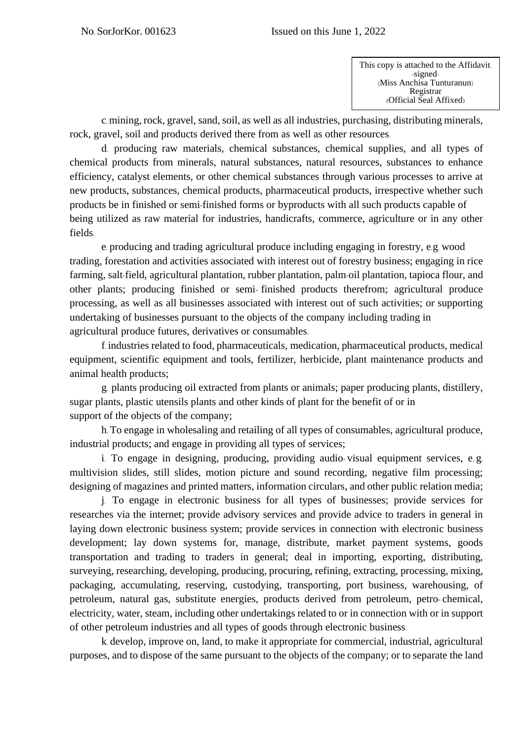c. mining, rock, gravel, sand, soil, as well as all industries, purchasing, distributing minerals, rock, gravel, soil and products derived there from as well as other resources.

d. producing raw materials, chemical substances, chemical supplies, and all types of chemical products from minerals, natural substances, natural resources, substances to enhance efficiency, catalyst elements, or other chemical substances through various processes to arrive at new products, substances, chemical products, pharmaceutical products, irrespective whether such products be in finished or semi-finished forms or byproducts with all such products capable of being utilized as raw material for industries, handicrafts, commerce, agriculture or in any other fields.

e. producing and trading agricultural produce including engaging in forestry, e.g. wood trading, forestation and activities associated with interest out of forestry business; engaging in rice farming, salt-field, agricultural plantation, rubber plantation, palm-oil plantation, tapioca flour, and other plants; producing finished or semi- finished products therefrom; agricultural produce processing, as well as all businesses associated with interest out of such activities; or supporting undertaking of businesses pursuant to the objects of the company including trading in agricultural produce futures, derivatives or consumables.

f. industries related to food, pharmaceuticals, medication, pharmaceutical products, medical equipment, scientific equipment and tools, fertilizer, herbicide, plant maintenance products and animal health products;

g. plants producing oil extracted from plants or animals; paper producing plants, distillery, sugar plants, plastic utensils plants and other kinds of plant for the benefit of or in support of the objects of the company;

h. To engage in wholesaling and retailing of all types of consumables, agricultural produce, industrial products; and engage in providing all types of services;

i. To engage in designing, producing, providing audio- visual equipment services, e. g. multivision slides, still slides, motion picture and sound recording, negative film processing; designing of magazines and printed matters, information circulars, and other public relation media;

j. To engage in electronic business for all types of businesses; provide services for researches via the internet; provide advisory services and provide advice to traders in general in laying down electronic business system; provide services in connection with electronic business development; lay down systems for, manage, distribute, market payment systems, goods transportation and trading to traders in general; deal in importing, exporting, distributing, surveying, researching, developing, producing, procuring, refining, extracting, processing, mixing, packaging, accumulating, reserving, custodying, transporting, port business, warehousing, of petroleum, natural gas, substitute energies, products derived from petroleum, petro- chemical, electricity, water, steam, including other undertakings related to or in connection with or in support of other petroleum industries and all types of goods through electronic business.

k. develop, improve on, land, to make it appropriate for commercial, industrial, agricultural purposes, and to dispose of the same pursuant to the objects of the company; or to separate the land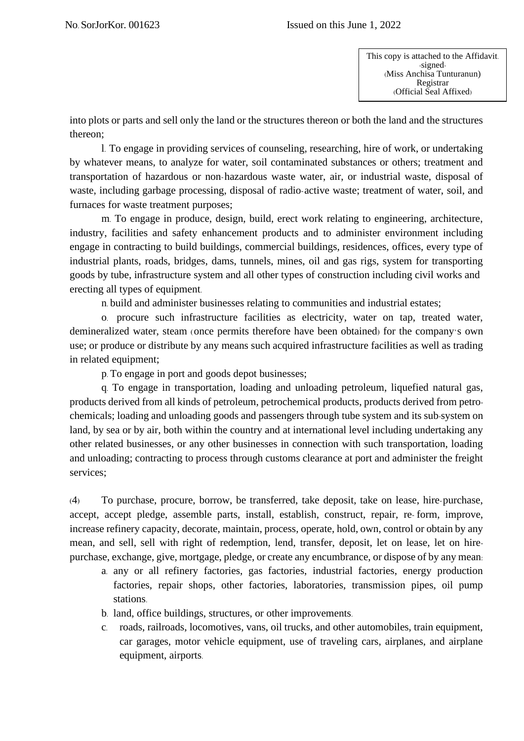into plots or parts and sell only the land or the structures thereon or both the land and the structures thereon;

l. To engage in providing services of counseling, researching, hire of work, or undertaking by whatever means, to analyze for water, soil contaminated substances or others; treatment and transportation of hazardous or non-hazardous waste water, air, or industrial waste, disposal of waste, including garbage processing, disposal of radio-active waste; treatment of water, soil, and furnaces for waste treatment purposes;

m. To engage in produce, design, build, erect work relating to engineering, architecture, industry, facilities and safety enhancement products and to administer environment including engage in contracting to build buildings, commercial buildings, residences, offices, every type of industrial plants, roads, bridges, dams, tunnels, mines, oil and gas rigs, system for transporting goods by tube, infrastructure system and all other types of construction including civil works and erecting all types of equipment.

n. build and administer businesses relating to communities and industrial estates;

o. procure such infrastructure facilities as electricity, water on tap, treated water, demineralized water, steam (once permits therefore have been obtained) for the company's own use; or produce or distribute by any means such acquired infrastructure facilities as well as trading in related equipment;

p. To engage in port and goods depot businesses;

q. To engage in transportation, loading and unloading petroleum, liquefied natural gas, products derived from all kinds of petroleum, petrochemical products, products derived from petrochemicals; loading and unloading goods and passengers through tube system and its sub-system on land, by sea or by air, both within the country and at international level including undertaking any other related businesses, or any other businesses in connection with such transportation, loading and unloading; contracting to process through customs clearance at port and administer the freight services;

(4) To purchase, procure, borrow, be transferred, take deposit, take on lease, hire-purchase, accept, accept pledge, assemble parts, install, establish, construct, repair, re- form, improve, increase refinery capacity, decorate, maintain, process, operate, hold, own, control or obtain by any mean, and sell, sell with right of redemption, lend, transfer, deposit, let on lease, let on hirepurchase, exchange, give, mortgage, pledge, or create any encumbrance, or dispose of by any mean:

- a. any or all refinery factories, gas factories, industrial factories, energy production factories, repair shops, other factories, laboratories, transmission pipes, oil pump stations.
- b. land, office buildings, structures, or other improvements.
- c. roads, railroads, locomotives, vans, oil trucks, and other automobiles, train equipment, car garages, motor vehicle equipment, use of traveling cars, airplanes, and airplane equipment, airports.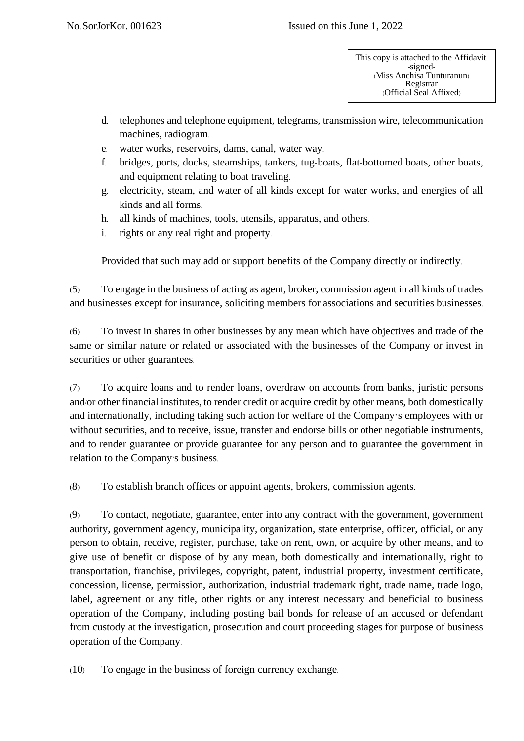- d. telephones and telephone equipment, telegrams, transmission wire, telecommunication machines, radiogram.
- e. water works, reservoirs, dams, canal, water way.
- f. bridges, ports, docks, steamships, tankers, tug-boats, flat-bottomed boats, other boats, and equipment relating to boat traveling.
- g. electricity, steam, and water of all kinds except for water works, and energies of all kinds and all forms.
- h. all kinds of machines, tools, utensils, apparatus, and others.
- i. rights or any real right and property.

Provided that such may add or support benefits of the Company directly or indirectly.

(5) To engage in the business of acting as agent, broker, commission agent in all kinds of trades and businesses except for insurance, soliciting members for associations and securities businesses.

(6) To invest in shares in other businesses by any mean which have objectives and trade of the same or similar nature or related or associated with the businesses of the Company or invest in securities or other guarantees.

(7) To acquire loans and to render loans, overdraw on accounts from banks, juristic persons and/or other financial institutes, to render credit or acquire credit by other means, both domestically and internationally, including taking such action for welfare of the Company's employees with or without securities, and to receive, issue, transfer and endorse bills or other negotiable instruments, and to render guarantee or provide guarantee for any person and to guarantee the government in relation to the Company's business.

(8) To establish branch offices or appoint agents, brokers, commission agents.

(9) To contact, negotiate, guarantee, enter into any contract with the government, government authority, government agency, municipality, organization, state enterprise, officer, official, or any person to obtain, receive, register, purchase, take on rent, own, or acquire by other means, and to give use of benefit or dispose of by any mean, both domestically and internationally, right to transportation, franchise, privileges, copyright, patent, industrial property, investment certificate, concession, license, permission, authorization, industrial trademark right, trade name, trade logo, label, agreement or any title, other rights or any interest necessary and beneficial to business operation of the Company, including posting bail bonds for release of an accused or defendant from custody at the investigation, prosecution and court proceeding stages for purpose of business operation of the Company.

(10) To engage in the business of foreign currency exchange.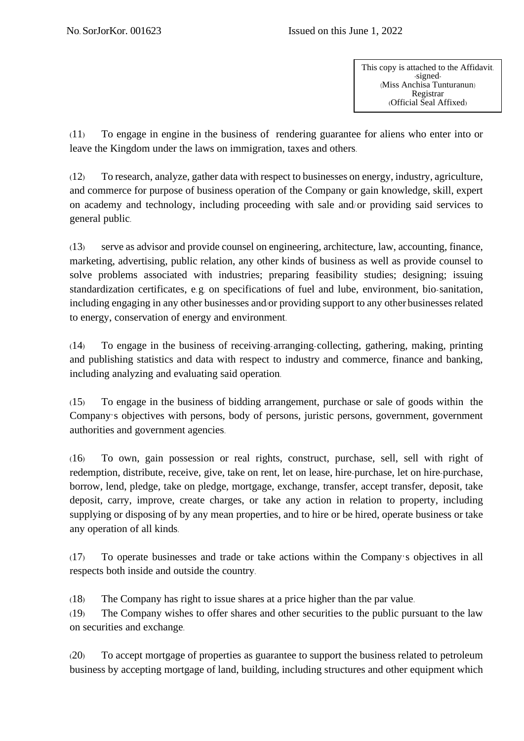(11) To engage in engine in the business of rendering guarantee for aliens who enter into or leave the Kingdom under the laws on immigration, taxes and others.

(12) To research, analyze, gather data with respect to businesses on energy, industry, agriculture, and commerce for purpose of business operation of the Company or gain knowledge, skill, expert on academy and technology, including proceeding with sale and/or providing said services to general public.

(13) serve as advisor and provide counsel on engineering, architecture, law, accounting, finance, marketing, advertising, public relation, any other kinds of business as well as provide counsel to solve problems associated with industries; preparing feasibility studies; designing; issuing standardization certificates, e.g. on specifications of fuel and lube, environment, bio-sanitation, including engaging in any other businesses and/or providing support to any other businesses related to energy, conservation of energy and environment.

(14) To engage in the business of receiving-arranging-collecting, gathering, making, printing and publishing statistics and data with respect to industry and commerce, finance and banking, including analyzing and evaluating said operation.

(15) To engage in the business of bidding arrangement, purchase or sale of goods within the Company's objectives with persons, body of persons, juristic persons, government, government authorities and government agencies.

(16) To own, gain possession or real rights, construct, purchase, sell, sell with right of redemption, distribute, receive, give, take on rent, let on lease, hire-purchase, let on hire-purchase, borrow, lend, pledge, take on pledge, mortgage, exchange, transfer, accept transfer, deposit, take deposit, carry, improve, create charges, or take any action in relation to property, including supplying or disposing of by any mean properties, and to hire or be hired, operate business or take any operation of all kinds.

(17) To operate businesses and trade or take actions within the Company's objectives in all respects both inside and outside the country.

(18) The Company has right to issue shares at a price higher than the par value.

(19) The Company wishes to offer shares and other securities to the public pursuant to the law on securities and exchange.

(20) To accept mortgage of properties as guarantee to support the business related to petroleum business by accepting mortgage of land, building, including structures and other equipment which